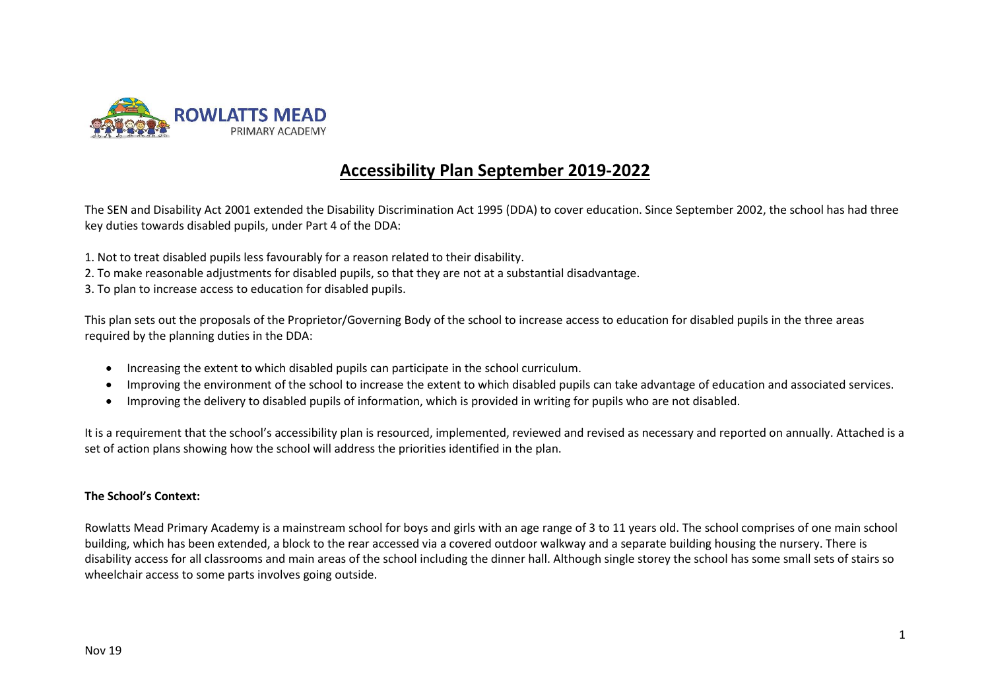

# **Accessibility Plan September 2019-2022**

The SEN and Disability Act 2001 extended the Disability Discrimination Act 1995 (DDA) to cover education. Since September 2002, the school has had three key duties towards disabled pupils, under Part 4 of the DDA:

- 1. Not to treat disabled pupils less favourably for a reason related to their disability.
- 2. To make reasonable adjustments for disabled pupils, so that they are not at a substantial disadvantage.
- 3. To plan to increase access to education for disabled pupils.

This plan sets out the proposals of the Proprietor/Governing Body of the school to increase access to education for disabled pupils in the three areas required by the planning duties in the DDA:

- Increasing the extent to which disabled pupils can participate in the school curriculum.
- Improving the environment of the school to increase the extent to which disabled pupils can take advantage of education and associated services.
- Improving the delivery to disabled pupils of information, which is provided in writing for pupils who are not disabled.

It is a requirement that the school's accessibility plan is resourced, implemented, reviewed and revised as necessary and reported on annually. Attached is a set of action plans showing how the school will address the priorities identified in the plan.

#### **The School's Context:**

Rowlatts Mead Primary Academy is a mainstream school for boys and girls with an age range of 3 to 11 years old. The school comprises of one main school building, which has been extended, a block to the rear accessed via a covered outdoor walkway and a separate building housing the nursery. There is disability access for all classrooms and main areas of the school including the dinner hall. Although single storey the school has some small sets of stairs so wheelchair access to some parts involves going outside.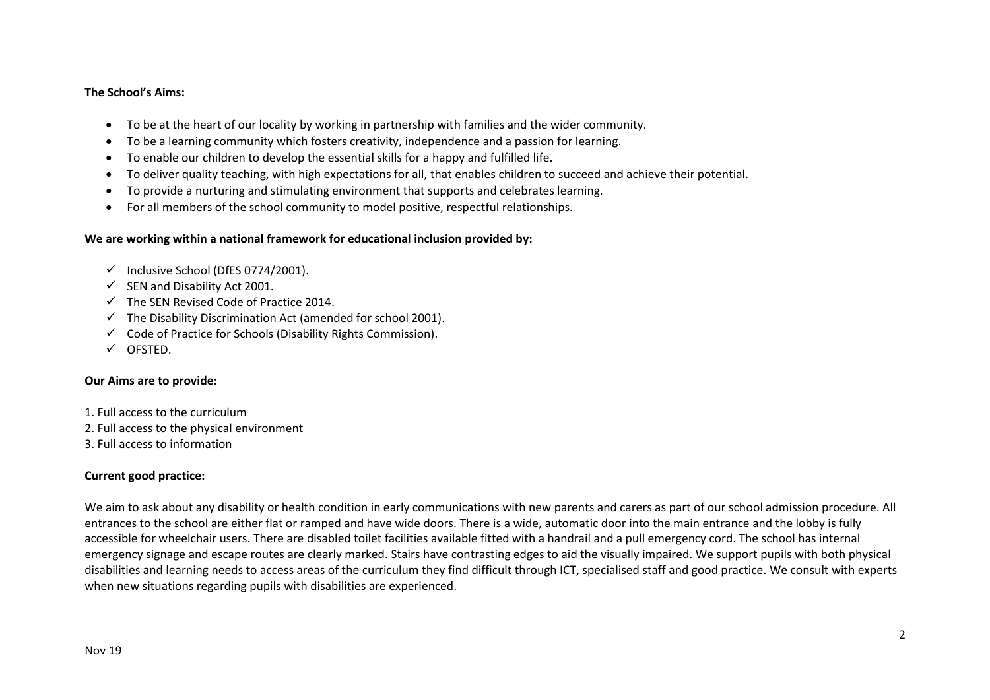#### **The School's Aims:**

- To be at the heart of our locality by working in partnership with families and the wider community.
- To be a learning community which fosters creativity, independence and a passion for learning.
- To enable our children to develop the essential skills for a happy and fulfilled life.
- To deliver quality teaching, with high expectations for all, that enables children to succeed and achieve their potential.
- To provide a nurturing and stimulating environment that supports and celebrates learning.
- For all members of the school community to model positive, respectful relationships.

## **We are working within a national framework for educational inclusion provided by:**

- $\checkmark$  Inclusive School (DfES 0774/2001).
- $\checkmark$  SEN and Disability Act 2001.
- $\checkmark$  The SEN Revised Code of Practice 2014.
- $\checkmark$  The Disability Discrimination Act (amended for school 2001).
- $\checkmark$  Code of Practice for Schools (Disability Rights Commission).
- OFSTED.

### **Our Aims are to provide:**

- 1. Full access to the curriculum
- 2. Full access to the physical environment
- 3. Full access to information

# **Current good practice:**

We aim to ask about any disability or health condition in early communications with new parents and carers as part of our school admission procedure. All entrances to the school are either flat or ramped and have wide doors. There is a wide, automatic door into the main entrance and the lobby is fully accessible for wheelchair users. There are disabled toilet facilities available fitted with a handrail and a pull emergency cord. The school has internal emergency signage and escape routes are clearly marked. Stairs have contrasting edges to aid the visually impaired. We support pupils with both physical disabilities and learning needs to access areas of the curriculum they find difficult through ICT, specialised staff and good practice. We consult with experts when new situations regarding pupils with disabilities are experienced.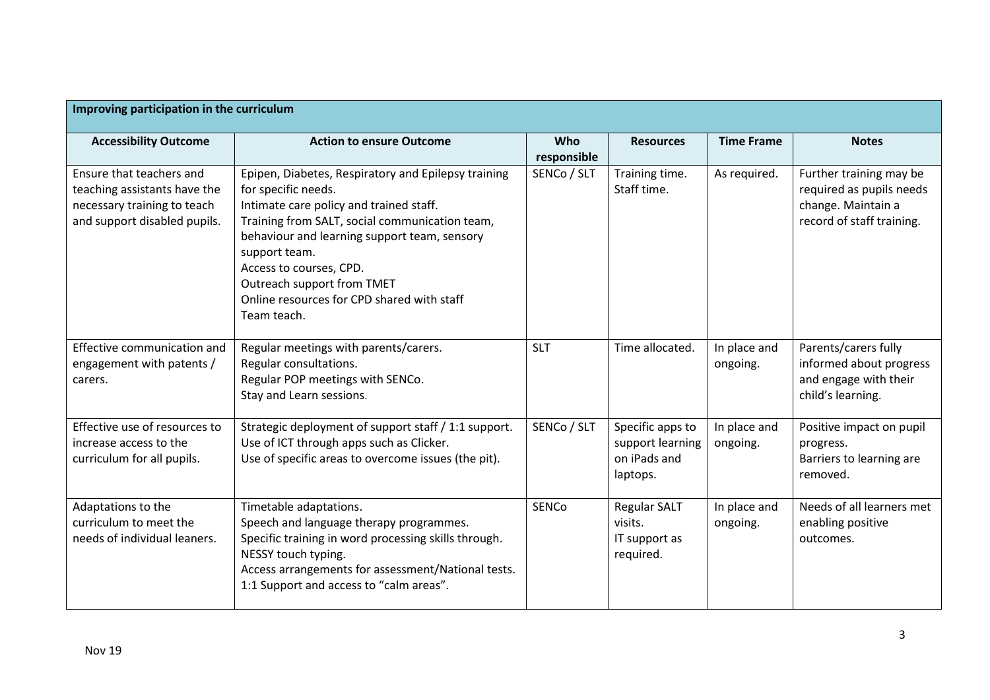| Improving participation in the curriculum                                                                               |                                                                                                                                                                                                                                                                                                                                                                |                    |                                                                  |                          |                                                                                                        |
|-------------------------------------------------------------------------------------------------------------------------|----------------------------------------------------------------------------------------------------------------------------------------------------------------------------------------------------------------------------------------------------------------------------------------------------------------------------------------------------------------|--------------------|------------------------------------------------------------------|--------------------------|--------------------------------------------------------------------------------------------------------|
| <b>Accessibility Outcome</b>                                                                                            | <b>Action to ensure Outcome</b>                                                                                                                                                                                                                                                                                                                                | Who<br>responsible | <b>Resources</b>                                                 | <b>Time Frame</b>        | <b>Notes</b>                                                                                           |
| Ensure that teachers and<br>teaching assistants have the<br>necessary training to teach<br>and support disabled pupils. | Epipen, Diabetes, Respiratory and Epilepsy training<br>for specific needs.<br>Intimate care policy and trained staff.<br>Training from SALT, social communication team,<br>behaviour and learning support team, sensory<br>support team.<br>Access to courses, CPD.<br>Outreach support from TMET<br>Online resources for CPD shared with staff<br>Team teach. | SENCo / SLT        | Training time.<br>Staff time.                                    | As required.             | Further training may be<br>required as pupils needs<br>change. Maintain a<br>record of staff training. |
| Effective communication and<br>engagement with patents /<br>carers.                                                     | Regular meetings with parents/carers.<br>Regular consultations.<br>Regular POP meetings with SENCo.<br>Stay and Learn sessions.                                                                                                                                                                                                                                | <b>SLT</b>         | Time allocated.                                                  | In place and<br>ongoing. | Parents/carers fully<br>informed about progress<br>and engage with their<br>child's learning.          |
| Effective use of resources to<br>increase access to the<br>curriculum for all pupils.                                   | Strategic deployment of support staff / 1:1 support.<br>Use of ICT through apps such as Clicker.<br>Use of specific areas to overcome issues (the pit).                                                                                                                                                                                                        | SENCo / SLT        | Specific apps to<br>support learning<br>on iPads and<br>laptops. | In place and<br>ongoing. | Positive impact on pupil<br>progress.<br>Barriers to learning are<br>removed.                          |
| Adaptations to the<br>curriculum to meet the<br>needs of individual leaners.                                            | Timetable adaptations.<br>Speech and language therapy programmes.<br>Specific training in word processing skills through.<br>NESSY touch typing.<br>Access arrangements for assessment/National tests.<br>1:1 Support and access to "calm areas".                                                                                                              | <b>SENCo</b>       | <b>Regular SALT</b><br>visits.<br>IT support as<br>required.     | In place and<br>ongoing. | Needs of all learners met<br>enabling positive<br>outcomes.                                            |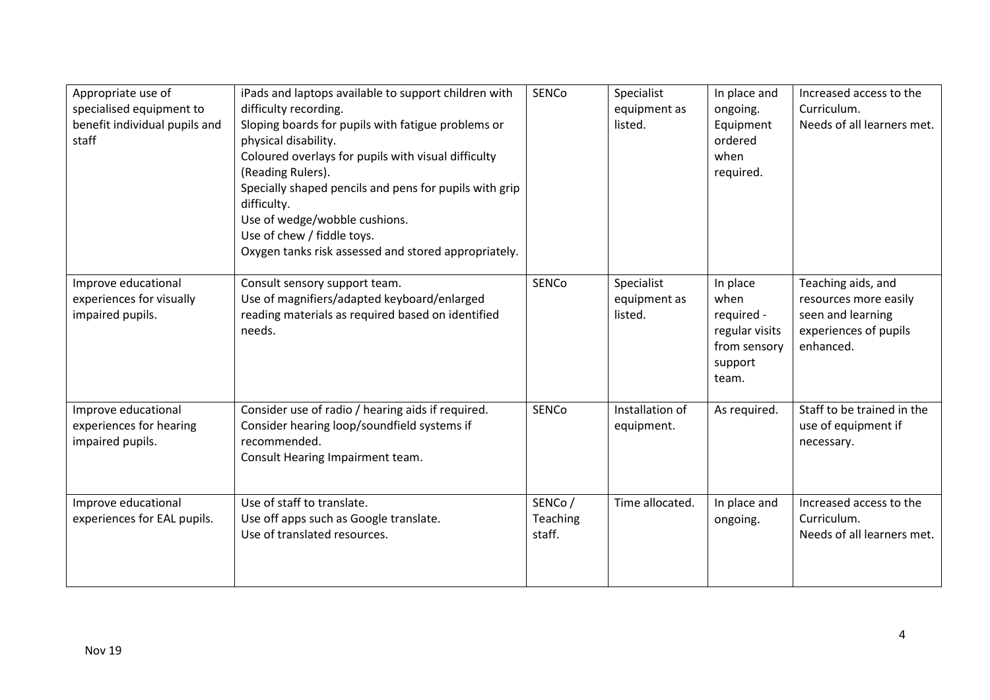| Appropriate use of<br>specialised equipment to<br>benefit individual pupils and<br>staff | iPads and laptops available to support children with<br>difficulty recording.<br>Sloping boards for pupils with fatigue problems or<br>physical disability.<br>Coloured overlays for pupils with visual difficulty<br>(Reading Rulers).<br>Specially shaped pencils and pens for pupils with grip<br>difficulty.<br>Use of wedge/wobble cushions.<br>Use of chew / fiddle toys.<br>Oxygen tanks risk assessed and stored appropriately. | SENCo                        | Specialist<br>equipment as<br>listed. | In place and<br>ongoing.<br>Equipment<br>ordered<br>when<br>required.                | Increased access to the<br>Curriculum.<br>Needs of all learners met.                                   |
|------------------------------------------------------------------------------------------|-----------------------------------------------------------------------------------------------------------------------------------------------------------------------------------------------------------------------------------------------------------------------------------------------------------------------------------------------------------------------------------------------------------------------------------------|------------------------------|---------------------------------------|--------------------------------------------------------------------------------------|--------------------------------------------------------------------------------------------------------|
| Improve educational<br>experiences for visually<br>impaired pupils.                      | Consult sensory support team.<br>Use of magnifiers/adapted keyboard/enlarged<br>reading materials as required based on identified<br>needs.                                                                                                                                                                                                                                                                                             | <b>SENCo</b>                 | Specialist<br>equipment as<br>listed. | In place<br>when<br>required -<br>regular visits<br>from sensory<br>support<br>team. | Teaching aids, and<br>resources more easily<br>seen and learning<br>experiences of pupils<br>enhanced. |
| Improve educational<br>experiences for hearing<br>impaired pupils.                       | Consider use of radio / hearing aids if required.<br>Consider hearing loop/soundfield systems if<br>recommended.<br>Consult Hearing Impairment team.                                                                                                                                                                                                                                                                                    | <b>SENCo</b>                 | Installation of<br>equipment.         | As required.                                                                         | Staff to be trained in the<br>use of equipment if<br>necessary.                                        |
| Improve educational<br>experiences for EAL pupils.                                       | Use of staff to translate.<br>Use off apps such as Google translate.<br>Use of translated resources.                                                                                                                                                                                                                                                                                                                                    | SENCo/<br>Teaching<br>staff. | Time allocated.                       | In place and<br>ongoing.                                                             | Increased access to the<br>Curriculum.<br>Needs of all learners met.                                   |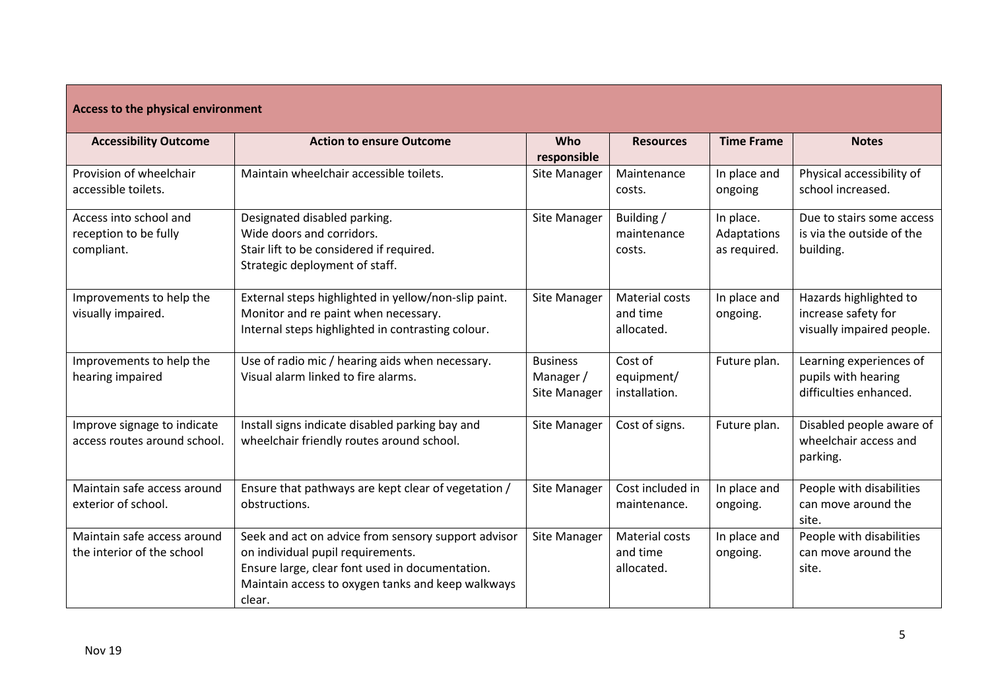| Access to the physical environment                            |                                                                                                                                                                                                            |                                              |                                          |                                          |                                                                            |  |
|---------------------------------------------------------------|------------------------------------------------------------------------------------------------------------------------------------------------------------------------------------------------------------|----------------------------------------------|------------------------------------------|------------------------------------------|----------------------------------------------------------------------------|--|
| <b>Accessibility Outcome</b>                                  | <b>Action to ensure Outcome</b>                                                                                                                                                                            | Who<br>responsible                           | <b>Resources</b>                         | <b>Time Frame</b>                        | <b>Notes</b>                                                               |  |
| Provision of wheelchair<br>accessible toilets.                | Maintain wheelchair accessible toilets.                                                                                                                                                                    | Site Manager                                 | Maintenance<br>costs.                    | In place and<br>ongoing                  | Physical accessibility of<br>school increased.                             |  |
| Access into school and<br>reception to be fully<br>compliant. | Designated disabled parking.<br>Wide doors and corridors.<br>Stair lift to be considered if required.<br>Strategic deployment of staff.                                                                    | Site Manager                                 | Building /<br>maintenance<br>costs.      | In place.<br>Adaptations<br>as required. | Due to stairs some access<br>is via the outside of the<br>building.        |  |
| Improvements to help the<br>visually impaired.                | External steps highlighted in yellow/non-slip paint.<br>Monitor and re paint when necessary.<br>Internal steps highlighted in contrasting colour.                                                          | Site Manager                                 | Material costs<br>and time<br>allocated. | In place and<br>ongoing.                 | Hazards highlighted to<br>increase safety for<br>visually impaired people. |  |
| Improvements to help the<br>hearing impaired                  | Use of radio mic / hearing aids when necessary.<br>Visual alarm linked to fire alarms.                                                                                                                     | <b>Business</b><br>Manager /<br>Site Manager | Cost of<br>equipment/<br>installation.   | Future plan.                             | Learning experiences of<br>pupils with hearing<br>difficulties enhanced.   |  |
| Improve signage to indicate<br>access routes around school.   | Install signs indicate disabled parking bay and<br>wheelchair friendly routes around school.                                                                                                               | <b>Site Manager</b>                          | Cost of signs.                           | Future plan.                             | Disabled people aware of<br>wheelchair access and<br>parking.              |  |
| Maintain safe access around<br>exterior of school.            | Ensure that pathways are kept clear of vegetation /<br>obstructions.                                                                                                                                       | Site Manager                                 | Cost included in<br>maintenance.         | In place and<br>ongoing.                 | People with disabilities<br>can move around the<br>site.                   |  |
| Maintain safe access around<br>the interior of the school     | Seek and act on advice from sensory support advisor<br>on individual pupil requirements.<br>Ensure large, clear font used in documentation.<br>Maintain access to oxygen tanks and keep walkways<br>clear. | Site Manager                                 | Material costs<br>and time<br>allocated. | In place and<br>ongoing.                 | People with disabilities<br>can move around the<br>site.                   |  |

 $\overline{\phantom{a}}$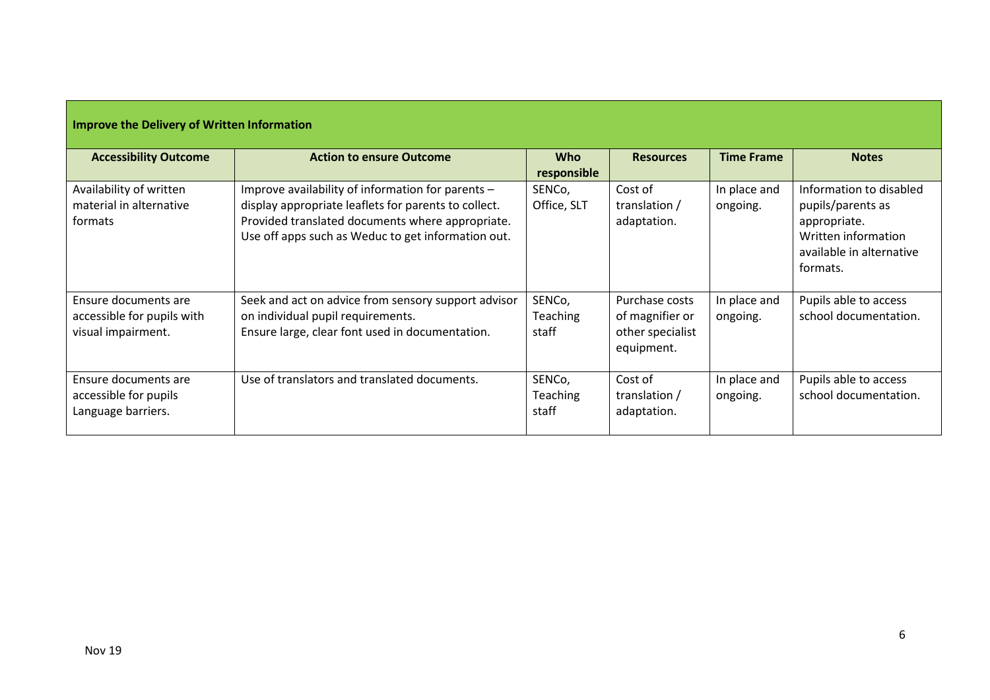| Improve the Delivery of Written Information                              |                                                                                                                                                                                                                     |                                    |                                                                     |                          |                                                                                                                             |  |
|--------------------------------------------------------------------------|---------------------------------------------------------------------------------------------------------------------------------------------------------------------------------------------------------------------|------------------------------------|---------------------------------------------------------------------|--------------------------|-----------------------------------------------------------------------------------------------------------------------------|--|
| <b>Accessibility Outcome</b>                                             | <b>Action to ensure Outcome</b>                                                                                                                                                                                     | <b>Who</b><br>responsible          | <b>Resources</b>                                                    | <b>Time Frame</b>        | <b>Notes</b>                                                                                                                |  |
| Availability of written<br>material in alternative<br>formats            | Improve availability of information for parents -<br>display appropriate leaflets for parents to collect.<br>Provided translated documents where appropriate.<br>Use off apps such as Weduc to get information out. | SENCo,<br>Office, SLT              | Cost of<br>translation /<br>adaptation.                             | In place and<br>ongoing. | Information to disabled<br>pupils/parents as<br>appropriate.<br>Written information<br>available in alternative<br>formats. |  |
| Ensure documents are<br>accessible for pupils with<br>visual impairment. | Seek and act on advice from sensory support advisor<br>on individual pupil requirements.<br>Ensure large, clear font used in documentation.                                                                         | SENCo,<br><b>Teaching</b><br>staff | Purchase costs<br>of magnifier or<br>other specialist<br>equipment. | In place and<br>ongoing. | Pupils able to access<br>school documentation.                                                                              |  |
| Ensure documents are<br>accessible for pupils<br>Language barriers.      | Use of translators and translated documents.                                                                                                                                                                        | SENCo,<br><b>Teaching</b><br>staff | Cost of<br>translation /<br>adaptation.                             | In place and<br>ongoing. | Pupils able to access<br>school documentation.                                                                              |  |

# **Improve the Delivery of Written Information**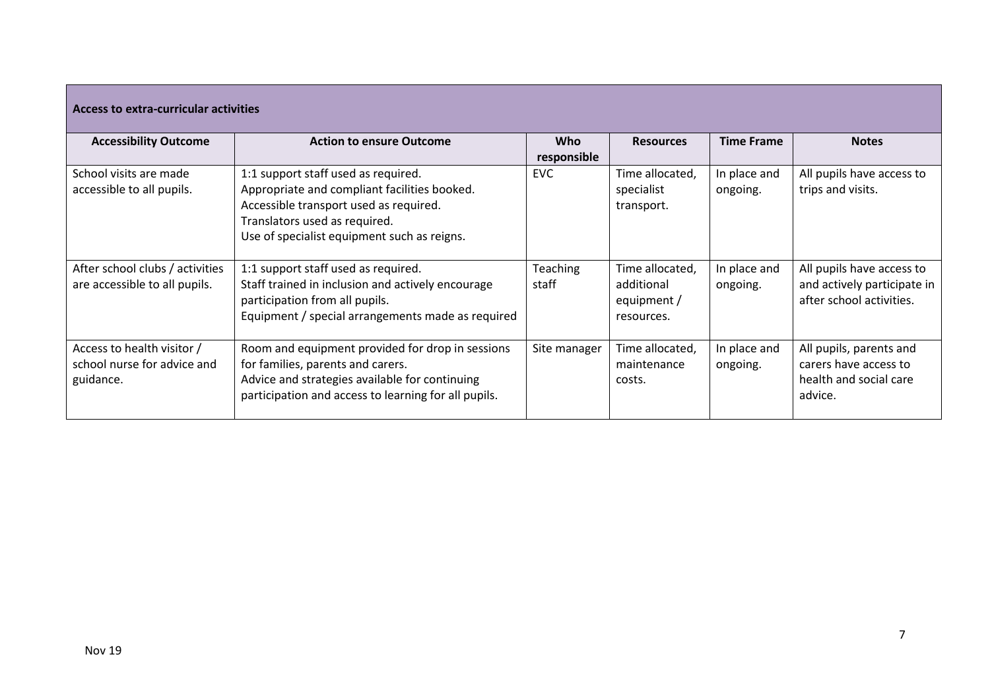| Access to extra-curricular activities |                                                      |                 |                  |                   |                             |  |
|---------------------------------------|------------------------------------------------------|-----------------|------------------|-------------------|-----------------------------|--|
| <b>Accessibility Outcome</b>          | <b>Action to ensure Outcome</b>                      | <b>Who</b>      | <b>Resources</b> | <b>Time Frame</b> | <b>Notes</b>                |  |
|                                       |                                                      | responsible     |                  |                   |                             |  |
| School visits are made                | 1:1 support staff used as required.                  | <b>EVC</b>      | Time allocated,  | In place and      | All pupils have access to   |  |
| accessible to all pupils.             | Appropriate and compliant facilities booked.         |                 | specialist       | ongoing.          | trips and visits.           |  |
|                                       | Accessible transport used as required.               |                 | transport.       |                   |                             |  |
|                                       | Translators used as required.                        |                 |                  |                   |                             |  |
|                                       | Use of specialist equipment such as reigns.          |                 |                  |                   |                             |  |
|                                       |                                                      |                 |                  |                   |                             |  |
| After school clubs / activities       | 1:1 support staff used as required.                  | <b>Teaching</b> | Time allocated.  | In place and      | All pupils have access to   |  |
| are accessible to all pupils.         | Staff trained in inclusion and actively encourage    | staff           | additional       | ongoing.          | and actively participate in |  |
|                                       | participation from all pupils.                       |                 | equipment /      |                   | after school activities.    |  |
|                                       | Equipment / special arrangements made as required    |                 | resources.       |                   |                             |  |
|                                       |                                                      |                 |                  |                   |                             |  |
| Access to health visitor /            | Room and equipment provided for drop in sessions     | Site manager    | Time allocated,  | In place and      | All pupils, parents and     |  |
| school nurse for advice and           | for families, parents and carers.                    |                 | maintenance      | ongoing.          | carers have access to       |  |
| guidance.                             | Advice and strategies available for continuing       |                 | costs.           |                   | health and social care      |  |
|                                       | participation and access to learning for all pupils. |                 |                  |                   | advice.                     |  |
|                                       |                                                      |                 |                  |                   |                             |  |

 $\overline{\phantom{a}}$